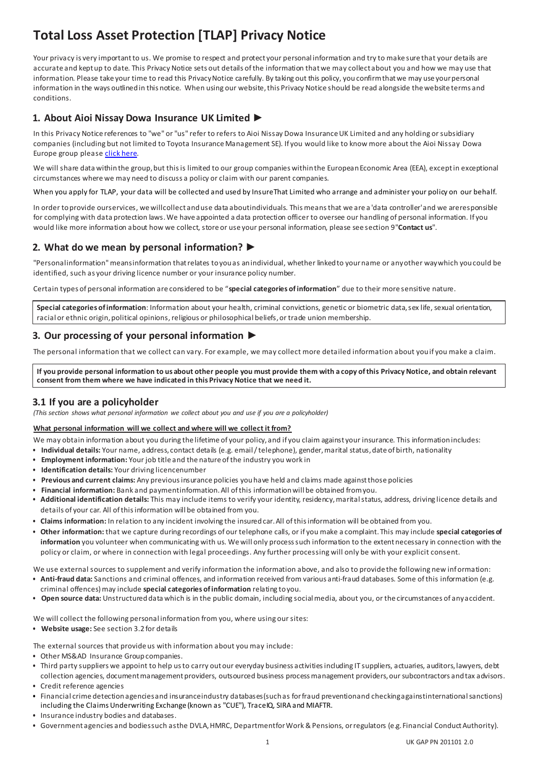# **Total Loss Asset Protection [TLAP] Privacy Notice**

Your privacy is very important to us. We promise to respect and protect your personal information and try to make sure that your details are accurate and kept up to date. This Privacy Notice sets out details of the information that we may collect about you and how we may use that information. Please take your time to read this Privacy Notice carefully. By taking out this policy, you confirm that we may use your personal information in the ways outlined in this notice. When using our website, this Privacy Notice should be read alongside the website terms and conditions.

# **1. About Aioi Nissay Dowa Insurance UK Limited** ►

In this Privacy Notice references to "we" or "us" refer to refers to Aioi Nissay Dowa Insurance UK Limited and any holding or subsidiary companies (including but not limited to Toyota Insurance Management SE). If you would like to know more about the Aioi Nissay Dowa Europe group pleas[e click here](https://www.aioinissaydowa.eu/en/our_organisation.cfm#.XrrFeWhKhPY).

We will share data within the group, but this is limited to our group companies within the European Economic Area (EEA), except in exceptional circumstances where we may need to discuss a policy or claim with our parent companies.

When you apply for TLAP, your data will be collected and used by InsureThat Limited who arrange and administer your policy on our behalf.

In order toprovide ourservices, wewillcollect anduse data aboutindividuals. Thismeansthat we are a 'data controller'and we areresponsible for complying with data protection laws. We have appointed a data protection officer to oversee our handling of personal information. If you would like more information about how we collect, store or use your personal information, please see section 9"**Contact us**".

# **2. What do we mean by personal information?** ►

"Personalinformation"meansinformation thatrelates toyouas anindividual, whether linkedto yourname or anyother waywhich youcould be identified, such as your driving licence number or your insurance policy number.

Certain types of personal information are considered to be "**special categories of information**" due to their more sensitive nature.

**Special categories of information**: Information about your health, criminal convictions, genetic or biometric data, sex life, sexual orientation, racial or ethnic origin, political opinions, religious or philosophical beliefs, or trade union membership.

# **3. Our processing of your personal information** ►

The personal information that we collect can vary. For example, we may collect more detailed information about youif you make a claim.

If you provide personal information to us about other people you must provide them with a copy of this Privacy Notice, and obtain relevant **consent from them where we have indicated in this Privacy Notice that we need it.**

## **3.1 If you are a policyholder**

*(This section shows what personal information we collect about you and use if you are a policyholder)*

#### **What personal information will we collect and where will we collect it from?**

- We may obtain information about you during the lifetime of your policy, and if you claim against your insurance. This informationincludes:
- **Individual details:** Your name, address, contact details (e.g. email/telephone), gender, marital status,date of birth, nationality
- **Employment information:** Your job title and the nature ofthe industry you work in
- **Identification details:** Your driving licencenumber
- **Previous and current claims:** Any previousinsurance policies youhave held and claims made againstthose policies
- **Financial information:** Bank and paymentinformation. All ofthis informationwill be obtained fromyou.
- **Additional identification details:** This may include items to verify your identity, residency, marital status, address, driving licence details and details of your car. All of this information will be obtained from you.
- **Claims information:** In relation to any incident involving the insured car. All ofthisinformation will be obtained from you.
- **Other information:** that we capture during recordings of our telephone calls, or if you make a complaint. This may include **special categories of information** you volunteer when communicating with us. Wewill only processsuch information to the extentnecessary in connection with the policy or claim, or where in connection with legal proceedings. Any further processing will only be with your explicit consent.

We use external sources to supplement and verify information the information above, and also to provide the following new information: • **Anti-fraud data:** Sanctions and criminal offences, and information received from various anti-fraud databases. Some of this information (e.g.

- criminal offences) may include **special categories of information** relating toyou.
- **Open source data:** Unstructureddata which is in the public domain, including socialmedia, about you, or the circumstances of anyaccident.

We will collect the following personal information from you, where using our sites:

• **Website usage:** See section 3.2 for details

The external sources that provide us with information about you may include:

- Other MS&AD Insurance Group companies.
- Third party suppliers we appoint to help usto carry out our everyday business activities including IT suppliers, actuaries, auditors, lawyers, debt collection agencies, document management providers, outsourced business process management providers, our subcontractors and tax advisors.
- Credit reference agencies
- Financial crime detectionagenciesand insuranceindustry databases(suchas forfraud preventionand checkingagainstinternationalsanctions) including the Claims Underwriting Exchange (known as "CUE"), TraceIQ, SIRA and MIAFTR.
- Insurance industry bodies and databases.
- Government agencies and bodiessuch asthe DVLA, HMRC, Departmentfor Work & Pensions, orregulators (e.g. Financial Conduct Authority).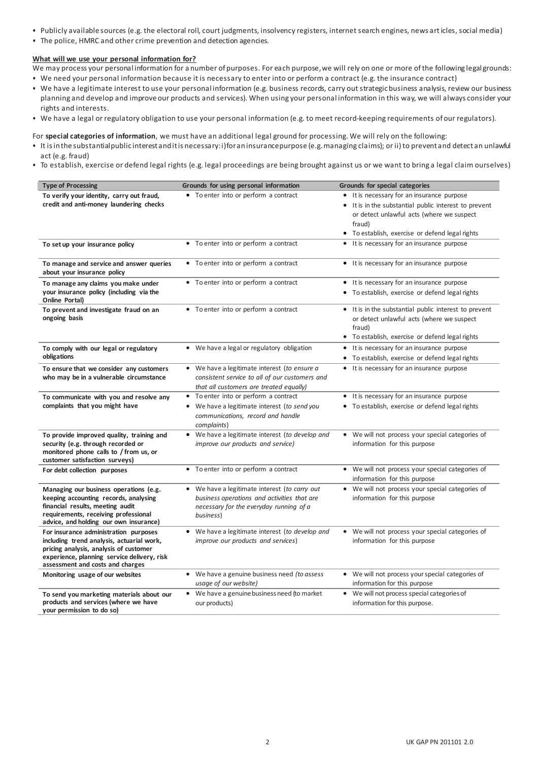- Publicly available sources (e.g. the electoral roll, court judgments, insolvency registers, internet search engines, news art icles, social media)
- The police, HMRC and other crime prevention and detection agencies.

#### **What will we use your personal information for?**

We may process your personal information for a number of purposes. For each purpose, we will rely on one or more of the following legal grounds:

- We need your personal information because it is necessary to enter into or perform a contract (e.g. the insurance contract)
- We have a legitimate interest to use your personal information (e.g. business records, carry out strategicbusiness analysis, review our business planning and develop and improve our products and services). When using your personal information in this way, we will always consider your rights and interests.
- We have a legal or regulatory obligation to use your personal information (e.g. to meet record-keeping requirements of our regulators).

For **special categories of information**, we must have an additional legal ground for processing. We will rely on the following:

- It isinthe substantialpublic interest anditis necessary:i)foraninsurancepurpose (e.g.managing claims); or ii)to prevent and detect an unlawful act (e.g. fraud)
- To establish, exercise or defend legal rights (e.g. legal proceedings are being brought against us or we want to bring a legal claim ourselves)

| <b>Type of Processing</b>                                                                                                                                                                                                                   | Grounds for using personal information                                                | Grounds for special categories                                                                                    |
|---------------------------------------------------------------------------------------------------------------------------------------------------------------------------------------------------------------------------------------------|---------------------------------------------------------------------------------------|-------------------------------------------------------------------------------------------------------------------|
| To verify your identity, carry out fraud,                                                                                                                                                                                                   | • To enter into or perform a contract                                                 | It is necessary for an insurance purpose<br>٠                                                                     |
| credit and anti-money laundering checks                                                                                                                                                                                                     |                                                                                       | It is in the substantial public interest to prevent<br>٠                                                          |
|                                                                                                                                                                                                                                             |                                                                                       | or detect unlawful acts (where we suspect                                                                         |
|                                                                                                                                                                                                                                             |                                                                                       | fraud)                                                                                                            |
|                                                                                                                                                                                                                                             |                                                                                       | • To establish, exercise or defend legal rights                                                                   |
| To set up your insurance policy                                                                                                                                                                                                             | • To enter into or perform a contract                                                 | It is necessary for an insurance purpose                                                                          |
| To manage and service and answer queries<br>about your insurance policy                                                                                                                                                                     | • To enter into or perform a contract                                                 | • It is necessary for an insurance purpose                                                                        |
| To manage any claims you make under                                                                                                                                                                                                         | • To enter into or perform a contract                                                 | • It is necessary for an insurance purpose                                                                        |
| your insurance policy (including via the<br>Online Portal)                                                                                                                                                                                  |                                                                                       | To establish, exercise or defend legal rights<br>٠                                                                |
| To prevent and investigate fraud on an<br>ongoing basis                                                                                                                                                                                     | • To enter into or perform a contract                                                 | • It is in the substantial public interest to prevent<br>or detect unlawful acts (where we suspect<br>fraud)      |
|                                                                                                                                                                                                                                             |                                                                                       | To establish, exercise or defend legal rights<br>٠                                                                |
| To comply with our legal or regulatory                                                                                                                                                                                                      | • We have a legal or regulatory obligation                                            | It is necessary for an insurance purpose                                                                          |
| obligations                                                                                                                                                                                                                                 |                                                                                       | To establish, exercise or defend legal rights<br>$\bullet$                                                        |
| To ensure that we consider any customers                                                                                                                                                                                                    | • We have a legitimate interest (to ensure a                                          | • It is necessary for an insurance purpose                                                                        |
| who may be in a vulnerable circumstance                                                                                                                                                                                                     | consistent service to all of our customers and                                        |                                                                                                                   |
|                                                                                                                                                                                                                                             | that all customers are treated equally)                                               |                                                                                                                   |
| To communicate with you and resolve any                                                                                                                                                                                                     | • To enter into or perform a contract                                                 | • It is necessary for an insurance purpose                                                                        |
| complaints that you might have                                                                                                                                                                                                              | • We have a legitimate interest (to send you                                          | To establish, exercise or defend legal rights<br>٠                                                                |
|                                                                                                                                                                                                                                             | communications, record and handle                                                     |                                                                                                                   |
|                                                                                                                                                                                                                                             | complaints)                                                                           |                                                                                                                   |
| To provide improved quality, training and                                                                                                                                                                                                   | • We have a legitimate interest (to develop and                                       | • We will not process your special categories of                                                                  |
| security (e.g. through recorded or                                                                                                                                                                                                          | improve our products and service)                                                     | information for this purpose                                                                                      |
| monitored phone calls to / from us, or<br>customer satisfaction surveys)                                                                                                                                                                    |                                                                                       |                                                                                                                   |
| For debt collection purposes                                                                                                                                                                                                                | • To enter into or perform a contract                                                 | • We will not process your special categories of                                                                  |
|                                                                                                                                                                                                                                             |                                                                                       | information for this purpose                                                                                      |
| Managing our business operations (e.g.                                                                                                                                                                                                      | • We have a legitimate interest (to carry out                                         | • We will not process your special categories of                                                                  |
| keeping accounting records, analysing                                                                                                                                                                                                       | business operations and activities that are                                           | information for this purpose                                                                                      |
| financial results, meeting audit                                                                                                                                                                                                            | necessary for the everyday running of a                                               |                                                                                                                   |
| requirements, receiving professional                                                                                                                                                                                                        | business)                                                                             |                                                                                                                   |
|                                                                                                                                                                                                                                             |                                                                                       |                                                                                                                   |
|                                                                                                                                                                                                                                             |                                                                                       |                                                                                                                   |
|                                                                                                                                                                                                                                             |                                                                                       |                                                                                                                   |
| experience, planning service delivery, risk                                                                                                                                                                                                 |                                                                                       |                                                                                                                   |
| assessment and costs and charges                                                                                                                                                                                                            |                                                                                       |                                                                                                                   |
| Monitoring usage of our websites                                                                                                                                                                                                            | • We have a genuine business need (to assess                                          | • We will not process your special categories of                                                                  |
|                                                                                                                                                                                                                                             | usage of our website)                                                                 | information for this purpose                                                                                      |
| To send you marketing materials about our                                                                                                                                                                                                   | • We have a genuine business need (to market                                          | • We will not process special categories of                                                                       |
|                                                                                                                                                                                                                                             | our products)                                                                         |                                                                                                                   |
| advice, and holding our own insurance)<br>For insurance administration purposes<br>including trend analysis, actuarial work,<br>pricing analysis, analysis of customer<br>products and services (where we have<br>your permission to do so) | • We have a legitimate interest (to develop and<br>improve our products and services) | • We will not process your special categories of<br>information for this purpose<br>information for this purpose. |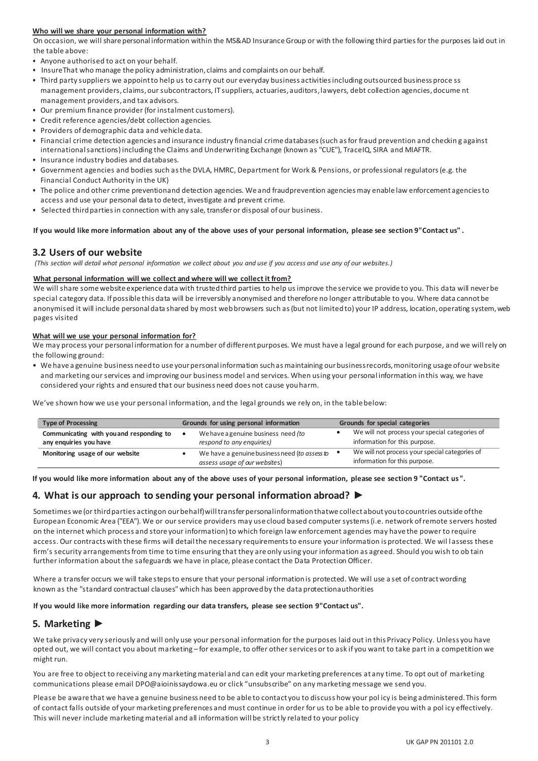#### **Who will we share your personal information with?**

On occasion, we will share personal information within the MS&AD InsuranceGroup or with the following third partiesfor the purposes laid out in the table above:

- Anyone authorised to act on your behalf.
- InsureThat who manage the policy administration, claims and complaints on our behalf.
- Third party suppliers we appoint to help us to carry out our everyday business activities including outsourced business proce ss management providers, claims, our subcontractors, IT suppliers, actuaries, auditors, lawyers, debt collection agencies, docume nt management providers, and tax advisors.
- Our premium finance provider (for instalment customers).
- Credit reference agencies/debt collection agencies.
- Providers of demographic data and vehicle data.
- Financial crime detection agencies and insurance industry financial crime databases (such as for fraud prevention and checkin g against international sanctions) including the Claims and Underwriting Exchange (known as "CUE"), TraceIQ, SIRA and MIAFTR.
- Insurance industry bodies and databases.
- Government agencies and bodies such as the DVLA, HMRC, Department for Work & Pensions, or professional regulators (e.g. the Financial Conduct Authority in the UK)
- The police and other crime preventionand detection agencies. We and fraudprevention agencies may enable law enforcement agenciesto access and use your personal data to detect, investigate and prevent crime.
- Selected thirdpartiesin connection with any sale, transferor disposal of our business.

#### **If you would like more information about any of the above uses of your personal information, please see section 9"Contact us" .**

### **3.2 Users of our website**

*(This section will detail what personal information we collect about you and use if you access and use any of our websites.)*

#### **What personal information will we collect and where will we collect it from?**

We will share some website experience data with trusted third parties to help us improve the service we provide to you. This data will never be special category data. If possible this data will be irreversibly anonymised and therefore no longer attributable to you. Where data cannot be anonymised it will include personal data shared by most web browsers such as (but not limited to) your IP address, location, operating system, web pages visited

#### **What will we use your personal information for?**

We may process your personal information for a number of different purposes. We must have a legal ground for each purpose, and we will rely on the following ground:

• We have a genuine business need to use your personal information such as maintaining our business records, monitoring usage ofour website and marketing our services and improving our business model and services. When using your personal information in this way, we have considered your rights and ensured that our business need does not cause youharm.

We've shown how we use your personal information, and the legal grounds we rely on, in the table below:

| <b>Type of Processing</b>                                          | Grounds for using personal information                                         | Grounds for special categories                                                  |
|--------------------------------------------------------------------|--------------------------------------------------------------------------------|---------------------------------------------------------------------------------|
| Communicating with you and responding to<br>any enquiries you have | We have a genuine business need (to<br>respond to any enquiries)               | We will not process your special categories of<br>information for this purpose. |
| Monitoring usage of our website                                    | We have a genuine business need (to assess to<br>assess usage of our websites) | We will not process your special categories of<br>information for this purpose. |

**If you would like more information about any of the above uses of your personal information, please see section 9 "Contact us ".**

## **4. What is our approach to sending your personal information abroad? ►**

Sometimes we (or thirdparties actingon ourbehalf)willtransferpersonalinformationthatwe collect about youtocountries outside ofthe European Economic Area ("EEA"). We or our service providers may use cloud based computer systems (i.e. network of remote servers hosted on the internet which process and store your information) to which foreign law enforcement agencies may have the power to require access. Our contracts with these firms will detail the necessary requirements to ensure your information is protected. We will assess these firm's security arrangements from time to time ensuring that they are only using your information as agreed. Should you wish to ob tain further information about the safeguards we have in place, please contact the Data Protection Officer.

Where a transfer occurs we will take steps to ensure that your personal information is protected. We will use a set of contractwording known as the "standard contractual clauses" which has been approved by the data protectionauthorities

**If you would like more information regarding our data transfers, please see section 9"Contact us".**

## **5. Marketing ►**

We take privacy very seriously and will only use your personal information for the purposes laid out in this Privacy Policy. Unless you have opted out, we will contact you about marketing – for example, to offer other services or to ask if you want to take part in a competition we might run.

You are free to object to receiving any marketing material and can edit your marketing preferences at any time. To opt out of marketing communications please ema[il DPO@aioinissaydowa.eu](mailto:DPO@insurethebox.com) or click "unsubscribe" on any marketing message we send you.

Please be aware that we have a genuine business need to be able to contact you to discuss how your pol icy is being administered. This form of contact falls outside of your marketing preferences and must continue in order for us to be able to provide you with a pol icy effectively. This will never include marketing material and all information will be strictly related to your policy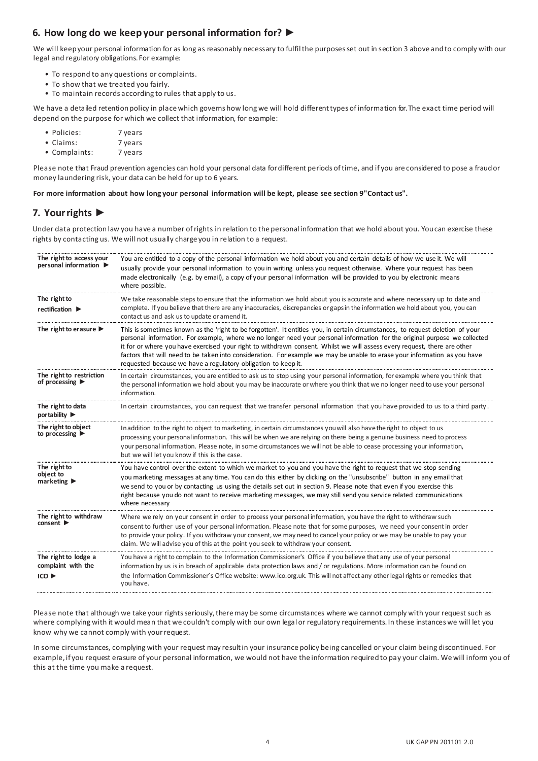# **6. How long do we keep your personal information for? ►**

We will keep your personal information for as long as reasonably necessary to fulfil the purposes set out in section 3 above and to comply with our legal and regulatory obligations. For example:

- To respond to any questions or complaints.
- To show that we treated you fairly.
- To maintain records according to rules that apply to us.

We have a detailed retention policy in place which govems how long we will hold different types of information for. The exact time period will depend on the purpose for which we collect that information, for example:

- Policies: 7 years
- Claims: 7 years
- Complaints: 7 years

Please note that Fraud prevention agencies can hold your personal data fordifferent periods oftime, and if you are considered to pose a fraudor money laundering risk, your data can be held for up to 6 years.

**For more information about how long your personal information will be kept, please see section 9"Contact us".**

## **7. Your rights ►**

Under data protection law you have a number of rights in relation to the personal information that we hold about you. You can exercise these rights by contacting us. We will not usually charge you in relation to a request.

| The right to access your<br>personal information >              | You are entitled to a copy of the personal information we hold about you and certain details of how we use it. We will<br>usually provide your personal information to you in writing unless you request otherwise. Where your request has been<br>made electronically (e.g. by email), a copy of your personal information will be provided to you by electronic means<br>where possible.                                                                                                                                                                                             |
|-----------------------------------------------------------------|----------------------------------------------------------------------------------------------------------------------------------------------------------------------------------------------------------------------------------------------------------------------------------------------------------------------------------------------------------------------------------------------------------------------------------------------------------------------------------------------------------------------------------------------------------------------------------------|
| The right to<br>rectification $\blacktriangleright$             | We take reasonable steps to ensure that the information we hold about you is accurate and where necessary up to date and<br>complete. If you believe that there are any inaccuracies, discrepancies or gaps in the information we hold about you, you can<br>contact us and ask us to update or amend it.                                                                                                                                                                                                                                                                              |
| The right to erasure $\blacktriangleright$                      | This is sometimes known as the 'right to be forgotten'. It entitles you, in certain circumstances, to request deletion of your<br>personal information. For example, where we no longer need your personal information for the original purpose we collected<br>it for or where you have exercised your right to withdrawn consent. Whilst we will assess every request, there are other<br>factors that will need to be taken into consideration. For example we may be unable to erase your information as you have<br>requested because we have a regulatory obligation to keep it. |
| The right to restriction<br>of processing $\blacktriangleright$ | In certain circumstances, you are entitled to ask us to stop using your personal information, for example where you think that<br>the personal information we hold about you may be inaccurate or where you think that we no longer need to use your personal<br>information.                                                                                                                                                                                                                                                                                                          |
| The right to data<br>portability $\blacktriangleright$          | In certain circumstances, you can request that we transfer personal information that you have provided to us to a third party.                                                                                                                                                                                                                                                                                                                                                                                                                                                         |
| The right to object<br>to processing $\blacktriangleright$      | In addition to the right to object to marketing, in certain circumstances you will also have the right to object to us<br>processing your personal information. This will be when we are relying on there being a genuine business need to process<br>your personal information. Please note, in some circumstances we will not be able to cease processing your information,<br>but we will let you know if this is the case.                                                                                                                                                         |
| The right to<br>object to<br>marketing $\blacktriangleright$    | You have control over the extent to which we market to you and you have the right to request that we stop sending<br>you marketing messages at any time. You can do this either by clicking on the "unsubscribe" button in any email that<br>we send to you or by contacting us using the details set out in section 9. Please note that even if you exercise this<br>right because you do not want to receive marketing messages, we may still send you service related communications<br>where necessary                                                                             |
| The right to withdraw<br>consent                                | Where we rely on your consent in order to process your personal information, you have the right to withdraw such<br>consent to further use of your personal information. Please note that for some purposes, we need your consent in order<br>to provide your policy. If you withdraw your consent, we may need to cancel your policy or we may be unable to pay your<br>claim. We will advise you of this at the point you seek to withdraw your consent.                                                                                                                             |
| The right to lodge a<br>complaint with the<br>ICO               | You have a right to complain to the Information Commissioner's Office if you believe that any use of your personal<br>information by us is in breach of applicable data protection laws and / or regulations. More information can be found on<br>the Information Commissioner's Office website: www.ico.org.uk. This will not affect any other legal rights or remedies that<br>you have.                                                                                                                                                                                             |

Please note that although we take your rights seriously, there may be some circumstances where we cannot comply with your request such as where complying with it would mean that we couldn't comply with our own legal or regulatory requirements. In these instances we will let you know why we cannot comply with yourrequest.

In some circumstances, complying with your request may result in your insurance policy being cancelled or your claim being discontinued. For example, if you request erasure of your personal information, we would not have the information required to pay your claim. We will inform you of this at the time you make a request.